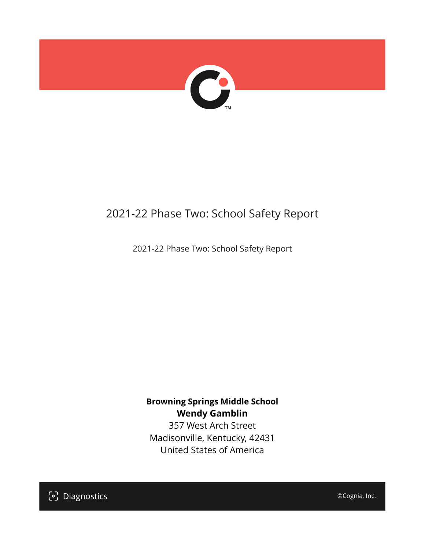

## 2021-22 Phase Two: School Safety Report

2021-22 Phase Two: School Safety Report

**Browning Springs Middle School Wendy Gamblin** 357 West Arch Street

Madisonville, Kentucky, 42431 United States of America

[၁] Diagnostics

©Cognia, Inc.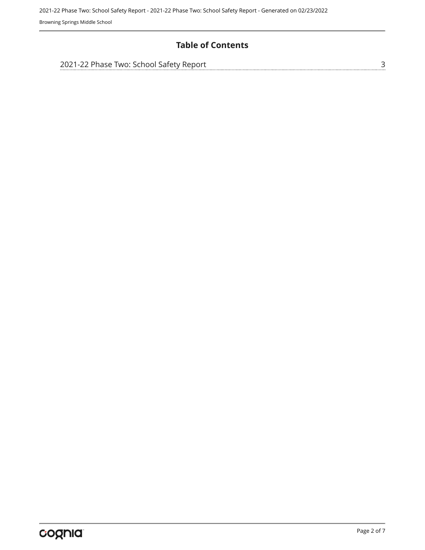#### **Table of Contents**

| 2021-22 Phase Two: School Safety Report |  |
|-----------------------------------------|--|
|                                         |  |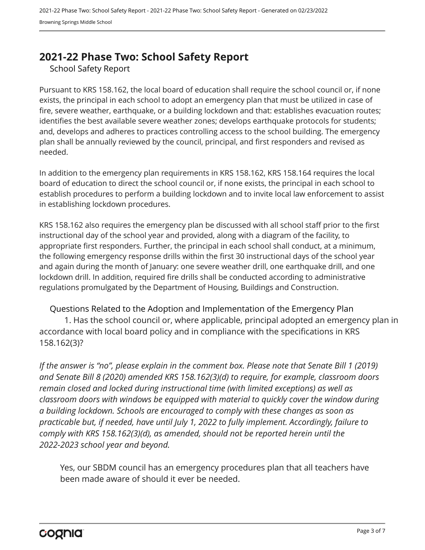## <span id="page-2-0"></span>**2021-22 Phase Two: School Safety Report**

School Safety Report

Pursuant to KRS 158.162, the local board of education shall require the school council or, if none exists, the principal in each school to adopt an emergency plan that must be utilized in case of fire, severe weather, earthquake, or a building lockdown and that: establishes evacuation routes; identifies the best available severe weather zones; develops earthquake protocols for students; and, develops and adheres to practices controlling access to the school building. The emergency plan shall be annually reviewed by the council, principal, and first responders and revised as needed.

In addition to the emergency plan requirements in KRS 158.162, KRS 158.164 requires the local board of education to direct the school council or, if none exists, the principal in each school to establish procedures to perform a building lockdown and to invite local law enforcement to assist in establishing lockdown procedures.

KRS 158.162 also requires the emergency plan be discussed with all school staff prior to the first instructional day of the school year and provided, along with a diagram of the facility, to appropriate first responders. Further, the principal in each school shall conduct, at a minimum, the following emergency response drills within the first 30 instructional days of the school year and again during the month of January: one severe weather drill, one earthquake drill, and one lockdown drill. In addition, required fire drills shall be conducted according to administrative regulations promulgated by the Department of Housing, Buildings and Construction.

Questions Related to the Adoption and Implementation of the Emergency Plan 1. Has the school council or, where applicable, principal adopted an emergency plan in accordance with local board policy and in compliance with the specifications in KRS 158.162(3)?

*If the answer is "no", please explain in the comment box. Please note that Senate Bill 1 (2019) and Senate Bill 8 (2020) amended KRS 158.162(3)(d) to require, for example, classroom doors remain closed and locked during instructional time (with limited exceptions) as well as classroom doors with windows be equipped with material to quickly cover the window during a building lockdown. Schools are encouraged to comply with these changes as soon as practicable but, if needed, have until July 1, 2022 to fully implement. Accordingly, failure to comply with KRS 158.162(3)(d), as amended, should not be reported herein until the 2022-2023 school year and beyond.*

Yes, our SBDM council has an emergency procedures plan that all teachers have been made aware of should it ever be needed.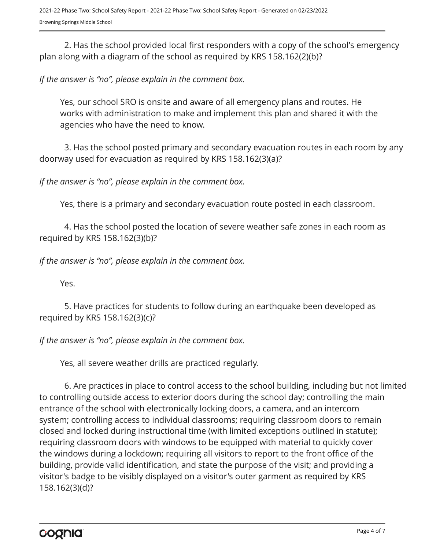2. Has the school provided local first responders with a copy of the school's emergency plan along with a diagram of the school as required by KRS 158.162(2)(b)?

### *If the answer is "no", please explain in the comment box.*

Yes, our school SRO is onsite and aware of all emergency plans and routes. He works with administration to make and implement this plan and shared it with the agencies who have the need to know.

3. Has the school posted primary and secondary evacuation routes in each room by any doorway used for evacuation as required by KRS 158.162(3)(a)?

*If the answer is "no", please explain in the comment box.*

Yes, there is a primary and secondary evacuation route posted in each classroom.

4. Has the school posted the location of severe weather safe zones in each room as required by KRS 158.162(3)(b)?

*If the answer is "no", please explain in the comment box.*

Yes.

5. Have practices for students to follow during an earthquake been developed as required by KRS 158.162(3)(c)?

*If the answer is "no", please explain in the comment box.*

Yes, all severe weather drills are practiced regularly.

6. Are practices in place to control access to the school building, including but not limited to controlling outside access to exterior doors during the school day; controlling the main entrance of the school with electronically locking doors, a camera, and an intercom system; controlling access to individual classrooms; requiring classroom doors to remain closed and locked during instructional time (with limited exceptions outlined in statute); requiring classroom doors with windows to be equipped with material to quickly cover the windows during a lockdown; requiring all visitors to report to the front office of the building, provide valid identification, and state the purpose of the visit; and providing a visitor's badge to be visibly displayed on a visitor's outer garment as required by KRS 158.162(3)(d)?

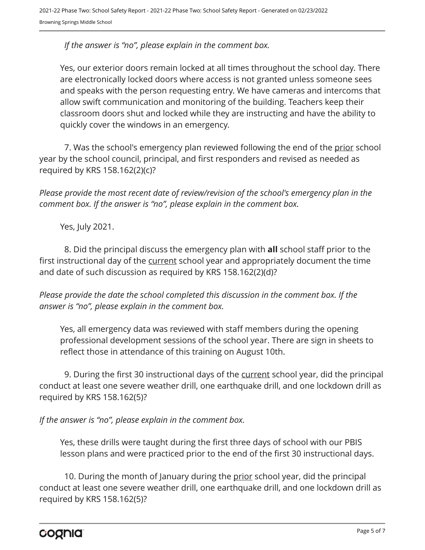*If the answer is "no", please explain in the comment box.*

Yes, our exterior doors remain locked at all times throughout the school day. There are electronically locked doors where access is not granted unless someone sees and speaks with the person requesting entry. We have cameras and intercoms that allow swift communication and monitoring of the building. Teachers keep their classroom doors shut and locked while they are instructing and have the ability to quickly cover the windows in an emergency.

7. Was the school's emergency plan reviewed following the end of the prior school year by the school council, principal, and first responders and revised as needed as required by KRS 158.162(2)(c)?

*Please provide the most recent date of review/revision of the school's emergency plan in the comment box. If the answer is "no", please explain in the comment box.* 

Yes, July 2021.

8. Did the principal discuss the emergency plan with **all** school staff prior to the first instructional day of the current school year and appropriately document the time and date of such discussion as required by KRS 158.162(2)(d)?

*Please provide the date the school completed this discussion in the comment box. If the answer is "no", please explain in the comment box.*

Yes, all emergency data was reviewed with staff members during the opening professional development sessions of the school year. There are sign in sheets to reflect those in attendance of this training on August 10th.

9. During the first 30 instructional days of the current school year, did the principal conduct at least one severe weather drill, one earthquake drill, and one lockdown drill as required by KRS 158.162(5)?

*If the answer is "no", please explain in the comment box.*

Yes, these drills were taught during the first three days of school with our PBIS lesson plans and were practiced prior to the end of the first 30 instructional days.

10. During the month of January during the <u>prior</u> school year, did the principal conduct at least one severe weather drill, one earthquake drill, and one lockdown drill as required by KRS 158.162(5)?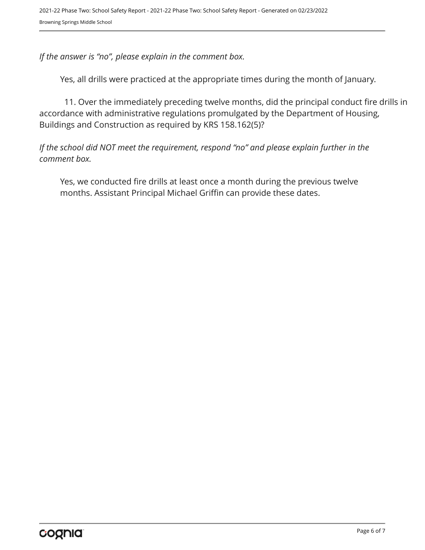*If the answer is "no", please explain in the comment box.*

Yes, all drills were practiced at the appropriate times during the month of January.

11. Over the immediately preceding twelve months, did the principal conduct fire drills in accordance with administrative regulations promulgated by the Department of Housing, Buildings and Construction as required by KRS 158.162(5)?

*If the school did NOT meet the requirement, respond "no" and please explain further in the comment box.* 

Yes, we conducted fire drills at least once a month during the previous twelve months. Assistant Principal Michael Griffin can provide these dates.